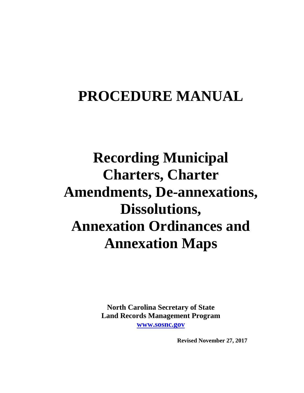# **PROCEDURE MANUAL**

# **Recording Municipal Charters, Charter Amendments, De-annexations, Dissolutions, Annexation Ordinances and Annexation Maps**

**North Carolina Secretary of State Land Records Management Program [www.sosnc.gov](http://www.sosnc.gov/)**

 **Revised November 27, 2017**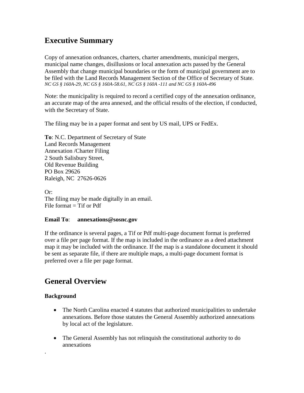## **Executive Summary**

Copy of annexation ordnances, charters, charter amendments, municipal mergers, municipal name changes, disillusions or local annexation acts passed by the General Assembly that change municipal boundaries or the form of municipal government are to be filed with the Land Records Management Section of the Office of Secretary of State. *NC GS § 160A-29, NC GS § 160A-58.61, NC GS § 160A -111 and NC GS § 160A-496*

Note: the municipality is required to record a certified copy of the annexation ordinance, an accurate map of the area annexed, and the official results of the election, if conducted, with the Secretary of State.

The filing may be in a paper format and sent by US mail, UPS or FedEx.

**To**: N.C. Department of Secretary of State Land Records Management Annexation /Charter Filing 2 South Salisbury Street, Old Revenue Building PO Box 29626 Raleigh, NC 27626-0626

Or: The filing may be made digitally in an email. File format  $=$  Tif or Pdf

### **Email To**: **annexations@sosnc.gov**

If the ordinance is several pages, a Tif or Pdf multi-page document format is preferred over a file per page format. If the map is included in the ordinance as a deed attachment map it may be included with the ordinance. If the map is a standalone document it should be sent as separate file, if there are multiple maps, a multi-page document format is preferred over a file per page format.

## **General Overview**

### **Background**

.

- The North Carolina enacted 4 statutes that authorized municipalities to undertake annexations. Before those statutes the General Assembly authorized annexations by local act of the legislature.
- The General Assembly has not relinquish the constitutional authority to do annexations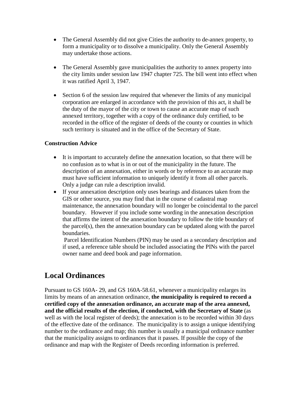- The General Assembly did not give Cities the authority to de-annex property, to form a municipality or to dissolve a municipality. Only the General Assembly may undertake those actions.
- The General Assembly gave municipalities the authority to annex property into the city limits under session law 1947 chapter 725. The bill went into effect when it was ratified April 3, 1947.
- Section 6 of the session law required that whenever the limits of any municipal corporation are enlarged in accordance with the provision of this act, it shall be the duty of the mayor of the city or town to cause an accurate map of such annexed territory, together with a copy of the ordinance duly certified, to be recorded in the office of the register of deeds of the county or counties in which such territory is situated and in the office of the Secretary of State.

#### **Construction Advice**

- It is important to accurately define the annexation location, so that there will be no confusion as to what is in or out of the municipality in the future. The description of an annexation, either in words or by reference to an accurate map must have sufficient information to uniquely identify it from all other parcels. Only a judge can rule a description invalid.
- If your annexation description only uses bearings and distances taken from the GIS or other source, you may find that in the course of cadastral map maintenance, the annexation boundary will no longer be coincidental to the parcel boundary. However if you include some wording in the annexation description that affirms the intent of the annexation boundary to follow the title boundary of the parcel(s), then the annexation boundary can be updated along with the parcel boundaries.

Parcel Identification Numbers (PIN) may be used as a secondary description and if used, a reference table should be included associating the PINs with the parcel owner name and deed book and page information.

## **Local Ordinances**

Pursuant to GS 160A- 29, and GS 160A-58.61, whenever a municipality enlarges its limits by means of an annexation ordinance, **the municipality is required to record a certified copy of the annexation ordinance, an accurate map of the area annexed,**  and the official results of the election, if conducted, with the Secretary of State (as well as with the local register of deeds); the annexation is to be recorded within 30 days of the effective date of the ordinance. The municipality is to assign a unique identifying number to the ordinance and map; this number is usually a municipal ordinance number that the municipality assigns to ordinances that it passes. If possible the copy of the ordinance and map with the Register of Deeds recording information is preferred.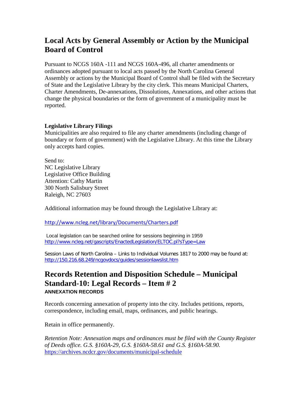## **Local Acts by General Assembly or Action by the Municipal Board of Control**

Pursuant to NCGS 160A -111 and NCGS 160A-496, all charter amendments or ordinances adopted pursuant to local acts passed by the North Carolina General Assembly or actions by the Municipal Board of Control shall be filed with the Secretary of State and the Legislative Library by the city clerk. This means Municipal Charters, Charter Amendments, De-annexations, Dissolutions, Annexations, and other actions that change the physical boundaries or the form of government of a municipality must be reported.

#### **Legislative Library Filings**

Municipalities are also required to file any charter amendments (including change of boundary or form of government) with the Legislative Library. At this time the Library only accepts hard copies.

Send to: NC Legislative Library Legislative Office Building Attention: Cathy Martin 300 North Salisbury Street Raleigh, NC 27603

Additional information may be found through the Legislative Library at:

<http://www.ncleg.net/library/Documents/Charters.pdf>

Local legislation can be searched online for sessions beginning in 1959 <http://www.ncleg.net/gascripts/EnactedLegislation/ELTOC.pl?sType=Law>

Session Laws of North Carolina – Links to Individual Volumes 1817 to 2000 may be found at: <http://150.216.68.249/ncgovdocs/guides/sessionlawslist.htm>

## **Records Retention and Disposition Schedule – Municipal Standard-10: Legal Records – Item # 2 ANNEXATION RECORDS**

Records concerning annexation of property into the city. Includes petitions, reports, correspondence, including email, maps, ordinances, and public hearings.

Retain in office permanently.

*Retention Note: Annexation maps and ordinances must be filed with the County Register of Deeds office. G.S. §160A-29, G.S. §160A-58.61 and G.S. §160A-58.90.* <https://archives.ncdcr.gov/documents/municipal-schedule>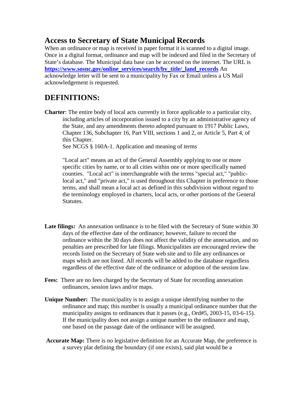## **Access to Secretary of State Municipal Records**

When an ordinance or map is received in paper format it is scanned to a digital image. Once in a digital format, ordinance and map will be indexed and filed in the Secretary of State's database. The Municipal data base can be accessed on the internet. The URL is **[https://www.sosnc.gov/online\\_services/search/by\\_title/\\_land\\_records](https://www.sosnc.gov/online_services/search/by_title/_land_records)** An acknowledge letter will be sent to a municipality by Fax or Email unless a US Mail acknowledgement is requested.

## **DEFINITIONS:**

**Charter**: The entire body of local acts currently in force applicable to a particular city, including articles of incorporation issued to a city by an administrative agency of the State, and any amendments thereto adopted pursuant to 1917 Public Laws, Chapter 136, Subchapter 16, Part VIII, sections 1 and 2, or Article 5, Part 4, of this Chapter.

See NCGS § 160A-1. Application and meaning of terms

"Local act" means an act of the General Assembly applying to one or more specific cities by name, or to all cities within one or more specifically named counties. "Local act" is interchangeable with the terms "special act," "publiclocal act," and "private act," is used throughout this Chapter in preference to those terms, and shall mean a local act as defined in this subdivision without regard to the terminology employed in charters, local acts, or other portions of the General Statutes.

- **Late filings:** An annexation ordinance is to be filed with the Secretary of State within 30 days of the effective date of the ordinance; however, failure to record the ordinance within the 30 days does not affect the validity of the annexation, and no penalties are prescribed for late filings. Municipalities are encouraged review the records listed on the Secretary of State web site and to file any ordinances or maps which are not listed. All records will be added to the database regardless regardless of the effective date of the ordinance or adoption of the session law.
- **Fees:** There are no fees charged by the Secretary of State for recording annexation ordinances, session laws and/or maps.
- **Unique Number:** The municipality is to assign a unique identifying number to the ordinance and map; this number is usually a municipal ordinance number that the municipality assigns to ordinances that it passes (e.g., Ord#5, 2003-15, 03-6-15). If the municipality does not assign a unique number to the ordinance and map, one based on the passage date of the ordinance will be assigned.
- **Accurate Map:** There is no legislative definition for an Accurate Map, the preference is a survey plat defining the boundary (if one exists), said plat would be a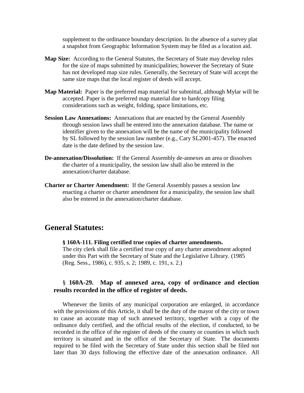supplement to the ordinance boundary description. In the absence of a survey plat a snapshot from Geographic Information System may be filed as a location aid.

- **Map Size:** According to the General Statutes, the Secretary of State may develop rules for the size of maps submitted by municipalities; however the Secretary of State has not developed map size rules. Generally, the Secretary of State will accept the same size maps that the local register of deeds will accept.
- **Map Material:** Paper is the preferred map material for submittal, although Mylar will be accepted. Paper is the preferred map material due to hardcopy filing considerations such as weight, folding, space limitations, etc.
- **Session Law Annexations:** Annexations that are enacted by the General Assembly through session laws shall be entered into the annexation database. The name or identifier given to the annexation will be the name of the municipality followed by SL followed by the session law number (e.g., Cary SL2001-457). The enacted date is the date defined by the session law.
- **De-annexation/Dissolution:** If the General Assembly de-annexes an area or dissolves the charter of a municipality, the session law shall also be entered in the annexation/charter database.
- **Charter or Charter Amendment:** If the General Assembly passes a session law enacting a charter or charter amendment for a municipality, the session law shall also be entered in the annexation/charter database.

## **General Statutes:**

## **§ 160A-111. Filing certified true copies of charter amendments.**

The city clerk shall file a certified true copy of any charter amendment adopted under this Part with the Secretary of State and the Legislative Library. (1985 (Reg. Sess., 1986), c. 935, s. 2; 1989, c. 191, s. 2.)

### § **160A-29. Map of annexed area, copy of ordinance and election results recorded in the office of register of deeds.**

Whenever the limits of any municipal corporation are enlarged, in accordance with the provisions of this Article, it shall be the duty of the mayor of the city or town to cause an accurate map of such annexed territory, together with a copy of the ordinance duly certified, and the official results of the election, if conducted, to be recorded in the office of the register of deeds of the county or counties in which such territory is situated and in the office of the Secretary of State. The documents required to be filed with the Secretary of State under this section shall be filed not later than 30 days following the effective date of the annexation ordinance. All